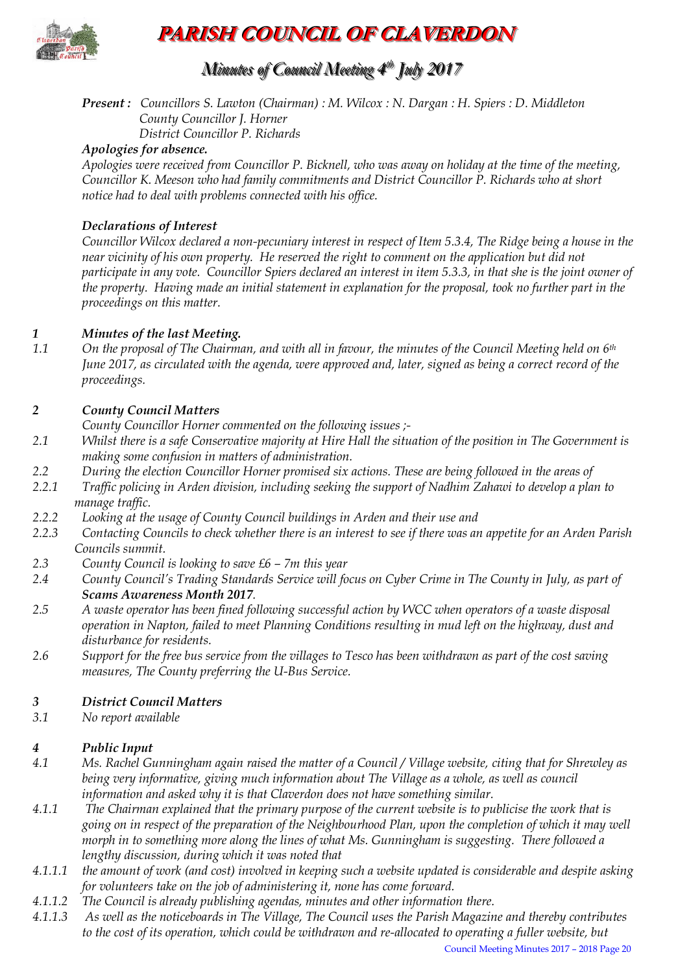

## **PARISH COUNCIL OF CLAVERDON**

## *Minutes of Council Meeting 4 t thh July 2017*

### *Present : Councillors S. Lawton (Chairman) : M. Wilcox : N. Dargan : H. Spiers : D. Middleton County Councillor J. Horner*

*District Councillor P. Richards* 

#### *Apologies for absence.*

*Apologies were received from Councillor P. Bicknell, who was away on holiday at the time of the meeting, Councillor K. Meeson who had family commitments and District Councillor P. Richards who at short notice had to deal with problems connected with his office.*

#### *Declarations of Interest*

*Councillor Wilcox declared a non-pecuniary interest in respect of Item 5.3.4, The Ridge being a house in the near vicinity of his own property. He reserved the right to comment on the application but did not participate in any vote. Councillor Spiers declared an interest in item 5.3.3, in that she is the joint owner of the property. Having made an initial statement in explanation for the proposal, took no further part in the proceedings on this matter.*

# *1 Minutes of the last Meeting.*

*1.1 On the proposal of The Chairman, and with all in favour, the minutes of the Council Meeting held on 6th June 2017, as circulated with the agenda, were approved and, later, signed as being a correct record of the proceedings.*

#### *2 County Council Matters*

*County Councillor Horner commented on the following issues ;-*

- *2.1 Whilst there is a safe Conservative majority at Hire Hall the situation of the position in The Government is making some confusion in matters of administration.*
- *2.2 During the election Councillor Horner promised six actions. These are being followed in the areas of*
- *2.2.1 Traffic policing in Arden division, including seeking the support of Nadhim Zahawi to develop a plan to manage traffic.*
- *2.2.2 Looking at the usage of County Council buildings in Arden and their use and*
- *2.2.3 Contacting Councils to check whether there is an interest to see if there was an appetite for an Arden Parish Councils summit.*
- *2.3 County Council is looking to save £6 – 7m this year*
- *2.4 County Council's Trading Standards Service will focus on Cyber Crime in The County in July, as part of Scams Awareness Month 2017.*
- *2.5 A waste operator has been fined following successful action by WCC when operators of a waste disposal operation in Napton, failed to meet Planning Conditions resulting in mud left on the highway, dust and disturbance for residents.*
- *2.6 Support for the free bus service from the villages to Tesco has been withdrawn as part of the cost saving measures, The County preferring the U-Bus Service.*

#### *3 District Council Matters*

*3.1 No report available*

#### *4 Public Input*

- *4.1 Ms. Rachel Gunningham again raised the matter of a Council / Village website, citing that for Shrewley as being very informative, giving much information about The Village as a whole, as well as council information and asked why it is that Claverdon does not have something similar.*
- *4.1.1 The Chairman explained that the primary purpose of the current website is to publicise the work that is going on in respect of the preparation of the Neighbourhood Plan, upon the completion of which it may well morph in to something more along the lines of what Ms. Gunningham is suggesting. There followed a lengthy discussion, during which it was noted that*
- *4.1.1.1 the amount of work (and cost) involved in keeping such a website updated is considerable and despite asking for volunteers take on the job of administering it, none has come forward.*
- *4.1.1.2 The Council is already publishing agendas, minutes and other information there.*
- *4.1.1.3 As well as the noticeboards in The Village, The Council uses the Parish Magazine and thereby contributes to the cost of its operation, which could be withdrawn and re-allocated to operating a fuller website, but*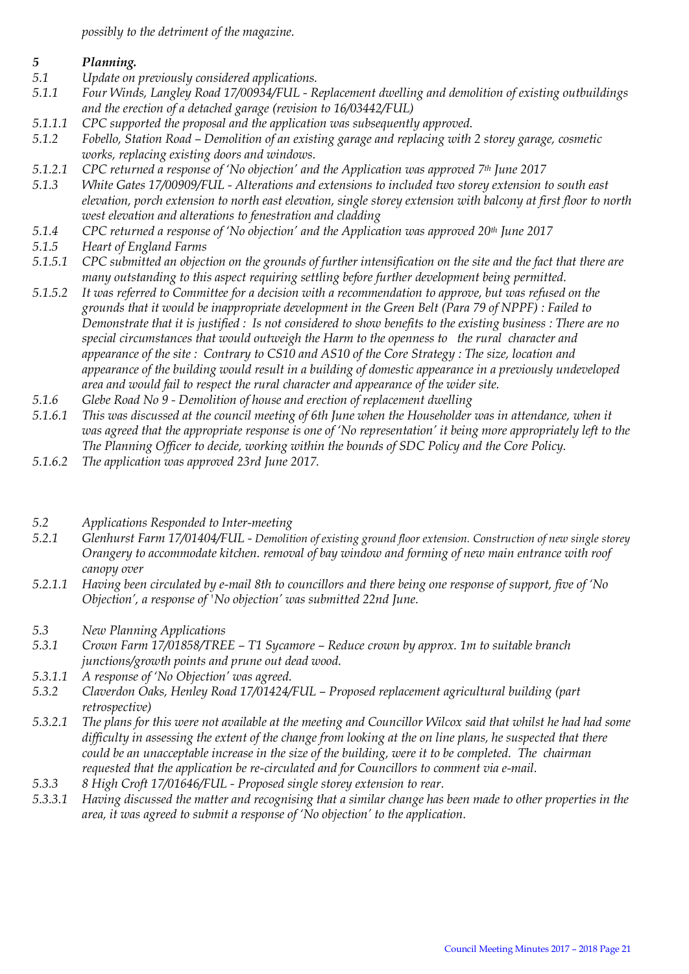*possibly to the detriment of the magazine.*

- *5 Planning. 5.1 Update on previously considered applications.*
- *5.1.1 Four Winds, Langley Road 17/00934/FUL - Replacement dwelling and demolition of existing outbuildings and the erection of a detached garage (revision to 16/03442/FUL)*
- *5.1.1.1 CPC supported the proposal and the application was subsequently approved.*
- *5.1.2 Fobello, Station Road – Demolition of an existing garage and replacing with 2 storey garage, cosmetic works, replacing existing doors and windows.*
- *5.1.2.1 CPC returned a response of 'No objection' and the Application was approved 7th June 2017*
- *5.1.3 White Gates 17/00909/FUL - Alterations and extensions to included two storey extension to south east elevation, porch extension to north east elevation, single storey extension with balcony at first floor to north west elevation and alterations to fenestration and cladding*
- *5.1.4 CPC returned a response of 'No objection' and the Application was approved 20th June 2017*
- *5.1.5 Heart of England Farms*
- *5.1.5.1 CPC submitted an objection on the grounds of further intensification on the site and the fact that there are many outstanding to this aspect requiring settling before further development being permitted.*
- *5.1.5.2 It was referred to Committee for a decision with a recommendation to approve, but was refused on the grounds that it would be inappropriate development in the Green Belt (Para 79 of NPPF) : Failed to Demonstrate that it is justified : Is not considered to show benefits to the existing business : There are no special circumstances that would outweigh the Harm to the openness to the rural character and appearance of the site : Contrary to CS10 and AS10 of the Core Strategy : The size, location and appearance of the building would result in a building of domestic appearance in a previously undeveloped area and would fail to respect the rural character and appearance of the wider site.*
- *5.1.6 Glebe Road No 9 - Demolition of house and erection of replacement dwelling*
- *5.1.6.1 This was discussed at the council meeting of 6th June when the Householder was in attendance, when it was agreed that the appropriate response is one of 'No representation' it being more appropriately left to the The Planning Officer to decide, working within the bounds of SDC Policy and the Core Policy.*
- *5.1.6.2 The application was approved 23rd June 2017.*
- *5.2 Applications Responded to Inter-meeting*
- *5.2.1 Glenhurst Farm 17/01404/FUL - Demolition of existing ground floor extension. Construction of new single storey Orangery to accommodate kitchen. removal of bay window and forming of new main entrance with roof canopy over*
- *5.2.1.1 Having been circulated by e-mail 8th to councillors and there being one response of support, five of 'No Objection', a response of 'No objection' was submitted 22nd June.*
- *5.3 New Planning Applications*
- *5.3.1 Crown Farm 17/01858/TREE – T1 Sycamore – Reduce crown by approx. 1m to suitable branch junctions/growth points and prune out dead wood.*
- *5.3.1.1 A response of 'No Objection' was agreed.*
- *5.3.2 Claverdon Oaks, Henley Road 17/01424/FUL – Proposed replacement agricultural building (part retrospective)*
- *5.3.2.1 The plans for this were not available at the meeting and Councillor Wilcox said that whilst he had had some difficulty in assessing the extent of the change from looking at the on line plans, he suspected that there could be an unacceptable increase in the size of the building, were it to be completed. The chairman requested that the application be re-circulated and for Councillors to comment via e-mail.*
- *5.3.3 8 High Croft 17/01646/FUL - Proposed single storey extension to rear.*
- *5.3.3.1 Having discussed the matter and recognising that a similar change has been made to other properties in the area, it was agreed to submit a response of 'No objection' to the application.*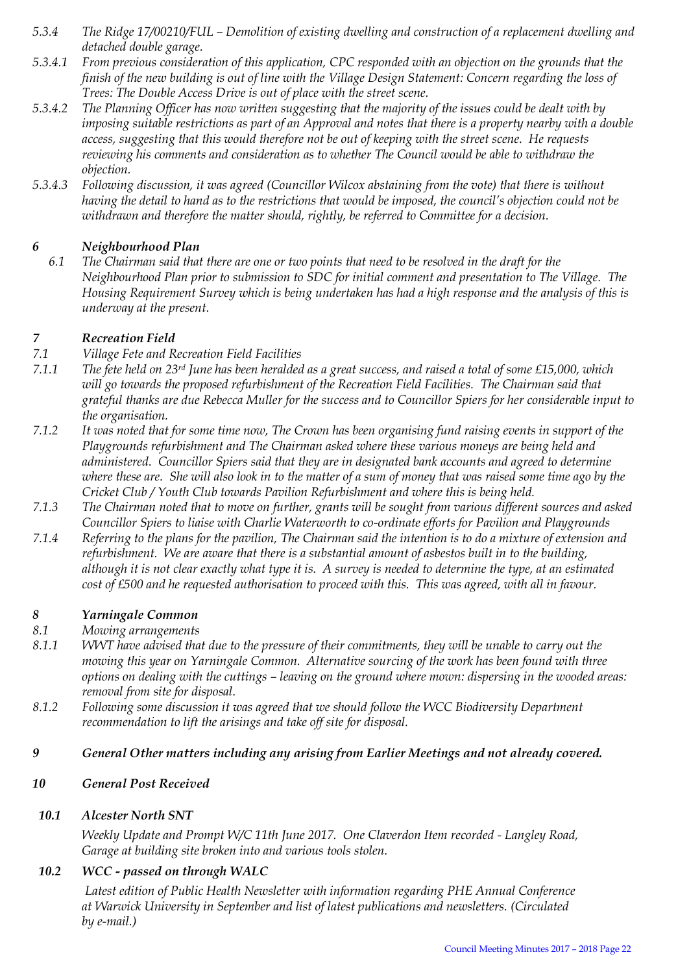- *5.3.4 The Ridge 17/00210/FUL – Demolition of existing dwelling and construction of a replacement dwelling and detached double garage.*
- *5.3.4.1 From previous consideration of this application, CPC responded with an objection on the grounds that the finish of the new building is out of line with the Village Design Statement: Concern regarding the loss of Trees: The Double Access Drive is out of place with the street scene.*
- *5.3.4.2 The Planning Officer has now written suggesting that the majority of the issues could be dealt with by imposing suitable restrictions as part of an Approval and notes that there is a property nearby with a double access, suggesting that this would therefore not be out of keeping with the street scene. He requests reviewing his comments and consideration as to whether The Council would be able to withdraw the objection.*
- *5.3.4.3 Following discussion, it was agreed (Councillor Wilcox abstaining from the vote) that there is without having the detail to hand as to the restrictions that would be imposed, the council's objection could not be withdrawn and therefore the matter should, rightly, be referred to Committee for a decision.*

#### *6 Neighbourhood Plan*

*6.1 The Chairman said that there are one or two points that need to be resolved in the draft for the Neighbourhood Plan prior to submission to SDC for initial comment and presentation to The Village. The Housing Requirement Survey which is being undertaken has had a high response and the analysis of this is underway at the present.*

#### *7 Recreation Field*

- *7.1 Village Fete and Recreation Field Facilities*
- *7.1.1 The fete held on 23rd June has been heralded as a great success, and raised a total of some £15,000, which*  will go towards the proposed refurbishment of the Recreation Field Facilities. The Chairman said that *grateful thanks are due Rebecca Muller for the success and to Councillor Spiers for her considerable input to the organisation.*
- *7.1.2 It was noted that for some time now, The Crown has been organising fund raising events in support of the Playgrounds refurbishment and The Chairman asked where these various moneys are being held and administered. Councillor Spiers said that they are in designated bank accounts and agreed to determine where these are. She will also look in to the matter of a sum of money that was raised some time ago by the Cricket Club / Youth Club towards Pavilion Refurbishment and where this is being held.*
- *7.1.3 The Chairman noted that to move on further, grants will be sought from various different sources and asked Councillor Spiers to liaise with Charlie Waterworth to co-ordinate efforts for Pavilion and Playgrounds*
- *7.1.4 Referring to the plans for the pavilion, The Chairman said the intention is to do a mixture of extension and refurbishment. We are aware that there is a substantial amount of asbestos built in to the building, although it is not clear exactly what type it is. A survey is needed to determine the type, at an estimated cost of £500 and he requested authorisation to proceed with this. This was agreed, with all in favour.*

#### *8 Yarningale Common*

- *8.1 Mowing arrangements*
- *8.1.1 WWT have advised that due to the pressure of their commitments, they will be unable to carry out the mowing this year on Yarningale Common. Alternative sourcing of the work has been found with three options on dealing with the cuttings – leaving on the ground where mown: dispersing in the wooded areas: removal from site for disposal.*
- *8.1.2 Following some discussion it was agreed that we should follow the WCC Biodiversity Department recommendation to lift the arisings and take off site for disposal.*
- *9 General Other matters including any arising from Earlier Meetings and not already covered.*

#### *10 General Post Received*

#### *10.1 Alcester North SNT*

*Weekly Update and Prompt W/C 11th June 2017. One Claverdon Item recorded - Langley Road, Garage at building site broken into and various tools stolen.*

#### *10.2 WCC - passed on through WALC*

*Latest edition of Public Health Newsletter with information regarding PHE Annual Conference at Warwick University in September and list of latest publications and newsletters. (Circulated by e-mail.)*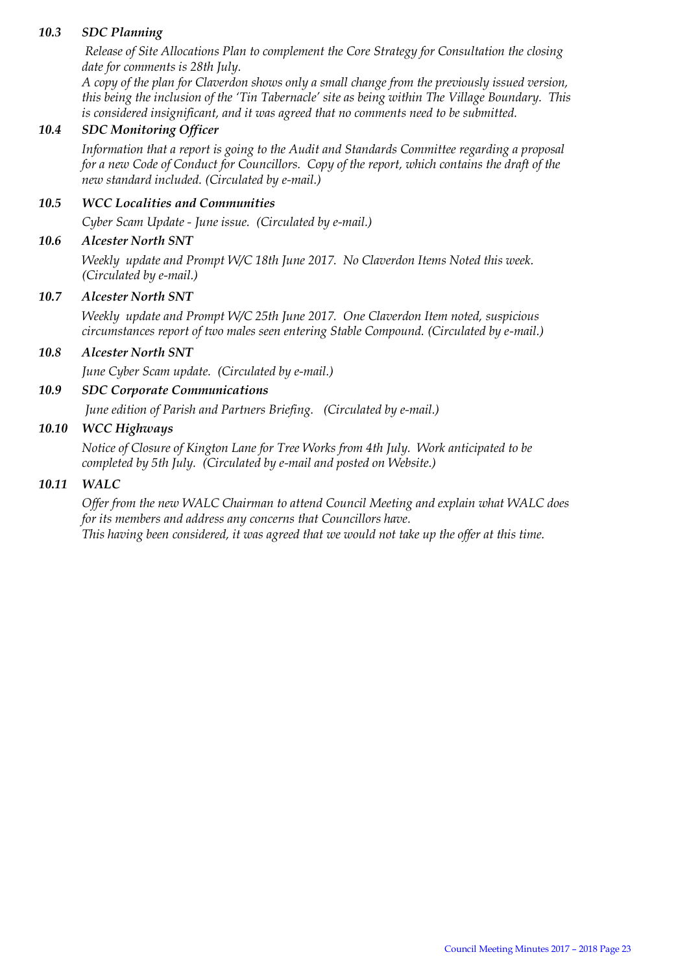#### *10.3 SDC Planning*

*Release of Site Allocations Plan to complement the Core Strategy for Consultation the closing date for comments is 28th July.* 

*A copy of the plan for Claverdon shows only a small change from the previously issued version, this being the inclusion of the 'Tin Tabernacle' site as being within The Village Boundary. This is considered insignificant, and it was agreed that no comments need to be submitted.*

#### *10.4 SDC Monitoring Officer*

*Information that a report is going to the Audit and Standards Committee regarding a proposal for a new Code of Conduct for Councillors. Copy of the report, which contains the draft of the new standard included. (Circulated by e-mail.)*

#### *10.5 WCC Localities and Communities*

*Cyber Scam Update - June issue. (Circulated by e-mail.)*

#### *10.6 Alcester North SNT*

*Weekly update and Prompt W/C 18th June 2017. No Claverdon Items Noted this week. (Circulated by e-mail.)*

#### *10.7 Alcester North SNT*

*Weekly update and Prompt W/C 25th June 2017. One Claverdon Item noted, suspicious circumstances report of two males seen entering Stable Compound. (Circulated by e-mail.)*

#### *10.8 Alcester North SNT*

*June Cyber Scam update. (Circulated by e-mail.)*

#### *10.9 SDC Corporate Communications*

*June edition of Parish and Partners Briefing. (Circulated by e-mail.)*

#### *10.10 WCC Highways*

*Notice of Closure of Kington Lane for Tree Works from 4th July. Work anticipated to be completed by 5th July. (Circulated by e-mail and posted on Website.)*

#### *10.11 WALC*

*Offer from the new WALC Chairman to attend Council Meeting and explain what WALC does for its members and address any concerns that Councillors have. This having been considered, it was agreed that we would not take up the offer at this time.*